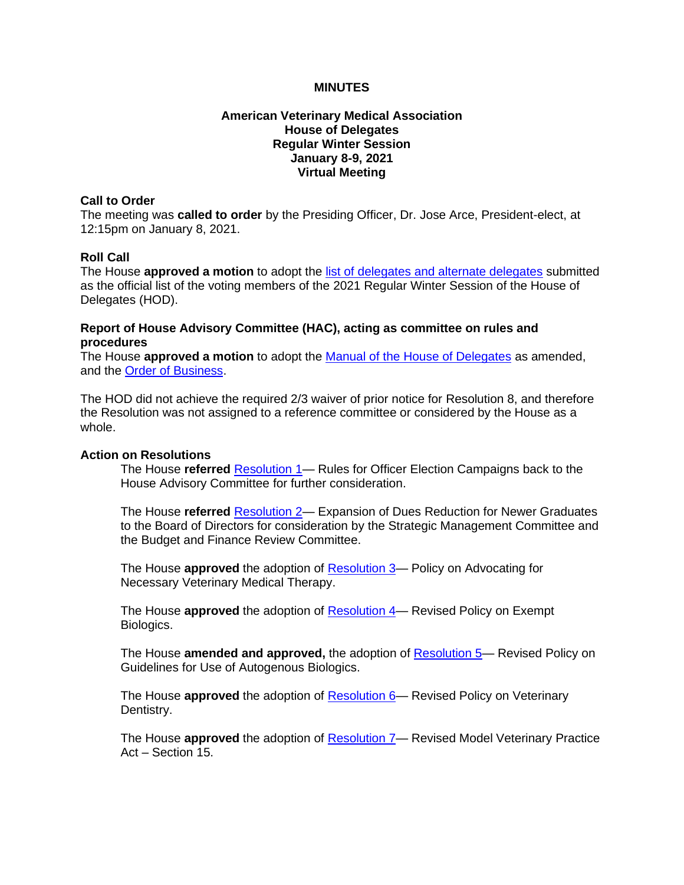# **MINUTES**

# **American Veterinary Medical Association House of Delegates Regular Winter Session January 8-9, 2021 Virtual Meeting**

#### **Call to Order**

The meeting was **called to order** by the Presiding Officer, Dr. Jose Arce, President-elect, at 12:15pm on January 8, 2021.

### **Roll Call**

The House **approved a motion** to adopt the [list of delegates and alternate delegates](https://www.avma.org/sites/default/files/2021-02/2021W_HOD_HAP.pdf) submitted as the official list of the voting members of the 2021 Regular Winter Session of the House of Delegates (HOD).

### **Report of House Advisory Committee (HAC), acting as committee on rules and procedures**

The House **approved a motion** to adopt the [Manual of the House of Delegates](https://www.avma.org/sites/default/files/2021-02/2021W_HOD_Manual_Approval.pdf) as amended, and the [Order of Business.](https://www.avma.org/sites/default/files/2021-02/2021W_OOB.pdf)

The HOD did not achieve the required 2/3 waiver of prior notice for Resolution 8, and therefore the Resolution was not assigned to a reference committee or considered by the House as a whole.

#### **Action on Resolutions**

The House **referred** [Resolution 1—](https://www.avma.org/sites/default/files/2021-01/2021W_Resolution1F.pdf) Rules for Officer Election Campaigns back to the House Advisory Committee for further consideration.

The House **referred** [Resolution 2—](https://www.avma.org/sites/default/files/2021-02/2021W_Resolution2F.pdf) Expansion of Dues Reduction for Newer Graduates to the Board of Directors for consideration by the Strategic Management Committee and the Budget and Finance Review Committee.

The House **approved** the adoption of [Resolution 3—](https://www.avma.org/sites/default/files/2021-01/2021W_Resolution3F.pdf) Policy on Advocating for Necessary Veterinary Medical Therapy.

The House **approved** the adoption of [Resolution 4—](https://www.avma.org/sites/default/files/2021-01/2021W_Resolution4F.pdf) Revised Policy on Exempt Biologics.

The House **amended and approved,** the adoption of [Resolution 5—](https://www.avma.org/sites/default/files/2021-01/2021W_Resolution5F.pdf) Revised Policy on Guidelines for Use of Autogenous Biologics.

The House **approved** the adoption of [Resolution 6—](https://www.avma.org/sites/default/files/2021-01/2021W_Resolution6F.pdf) Revised Policy on Veterinary Dentistry.

The House **approved** the adoption of [Resolution 7—](https://www.avma.org/sites/default/files/2021-01/2021W_Resolution7F.pdf) Revised Model Veterinary Practice Act – Section 15.